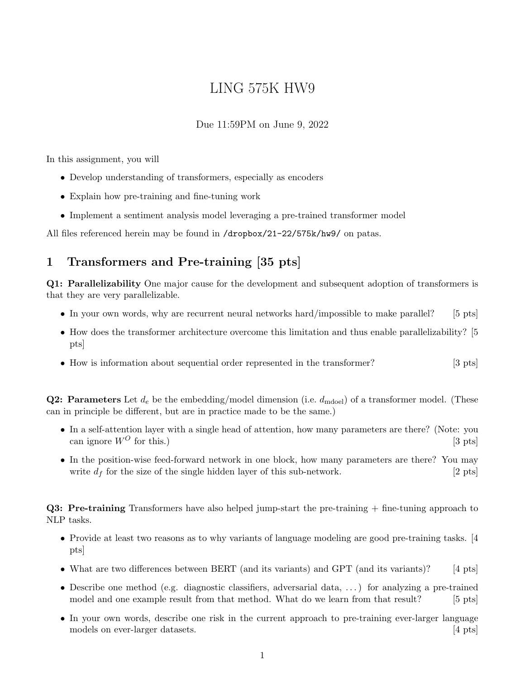# LING 575K HW9

#### Due 11:59PM on June 9, 2022

In this assignment, you will

- Develop understanding of transformers, especially as encoders
- Explain how pre-training and fine-tuning work
- Implement a sentiment analysis model leveraging a pre-trained transformer model

All files referenced herein may be found in /dropbox/21-22/575k/hw9/ on patas.

## 1 Transformers and Pre-training [35 pts]

Q1: Parallelizability One major cause for the development and subsequent adoption of transformers is that they are very parallelizable.

- In your own words, why are recurrent neural networks hard/impossible to make parallel? [5 pts]
- How does the transformer architecture overcome this limitation and thus enable parallelizability? [5] pts]
- How is information about sequential order represented in the transformer? [3 pts]

**Q2: Parameters** Let  $d_e$  be the embedding/model dimension (i.e.  $d_{\text{mode}}$ ) of a transformer model. (These can in principle be different, but are in practice made to be the same.)

- In a self-attention layer with a single head of attention, how many parameters are there? (Note: you can ignore  $W^O$  for this.) [3 pts]
- In the position-wise feed-forward network in one block, how many parameters are there? You may write  $d_f$  for the size of the single hidden layer of this sub-network. [2 pts]

Q3: Pre-training Transformers have also helped jump-start the pre-training + fine-tuning approach to NLP tasks.

- Provide at least two reasons as to why variants of language modeling are good pre-training tasks. [4] pts]
- What are two differences between BERT (and its variants) and GPT (and its variants)? [4 pts]
- Describe one method (e.g. diagnostic classifiers, adversarial data, ...) for analyzing a pre-trained model and one example result from that method. What do we learn from that result? [5 pts]
- In your own words, describe one risk in the current approach to pre-training ever-larger language models on ever-larger datasets. [4 pts]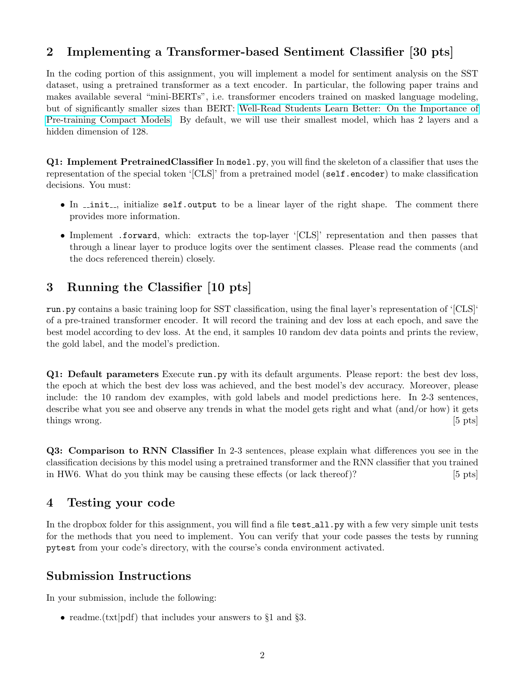### 2 Implementing a Transformer-based Sentiment Classifier [30 pts]

In the coding portion of this assignment, you will implement a model for sentiment analysis on the SST dataset, using a pretrained transformer as a text encoder. In particular, the following paper trains and makes available several "mini-BERTs", i.e. transformer encoders trained on masked language modeling, but of significantly smaller sizes than BERT: [Well-Read Students Learn Better: On the Importance of](https://arxiv.org/pdf/1908.08962.pdf) [Pre-training Compact Models.](https://arxiv.org/pdf/1908.08962.pdf) By default, we will use their smallest model, which has 2 layers and a hidden dimension of 128.

Q1: Implement PretrainedClassifier In model.py, you will find the skeleton of a classifier that uses the representation of the special token '[CLS]' from a pretrained model (self.encoder) to make classification decisions. You must:

- In  $\text{unit}$ , initialize self.output to be a linear layer of the right shape. The comment there provides more information.
- Implement .forward, which: extracts the top-layer '[CLS]' representation and then passes that through a linear layer to produce logits over the sentiment classes. Please read the comments (and the docs referenced therein) closely.

# 3 Running the Classifier [10 pts]

run.py contains a basic training loop for SST classification, using the final layer's representation of '[CLS]' of a pre-trained transformer encoder. It will record the training and dev loss at each epoch, and save the best model according to dev loss. At the end, it samples 10 random dev data points and prints the review, the gold label, and the model's prediction.

Q1: Default parameters Execute run.py with its default arguments. Please report: the best dev loss, the epoch at which the best dev loss was achieved, and the best model's dev accuracy. Moreover, please include: the 10 random dev examples, with gold labels and model predictions here. In 2-3 sentences, describe what you see and observe any trends in what the model gets right and what (and/or how) it gets things wrong. [5 pts]

Q3: Comparison to RNN Classifier In 2-3 sentences, please explain what differences you see in the classification decisions by this model using a pretrained transformer and the RNN classifier that you trained in HW6. What do you think may be causing these effects (or lack thereof)? [5 pts]

#### 4 Testing your code

In the dropbox folder for this assignment, you will find a file test all.py with a few very simple unit tests for the methods that you need to implement. You can verify that your code passes the tests by running pytest from your code's directory, with the course's conda environment activated.

#### Submission Instructions

In your submission, include the following:

• readme.(txt|pdf) that includes your answers to §1 and §3.